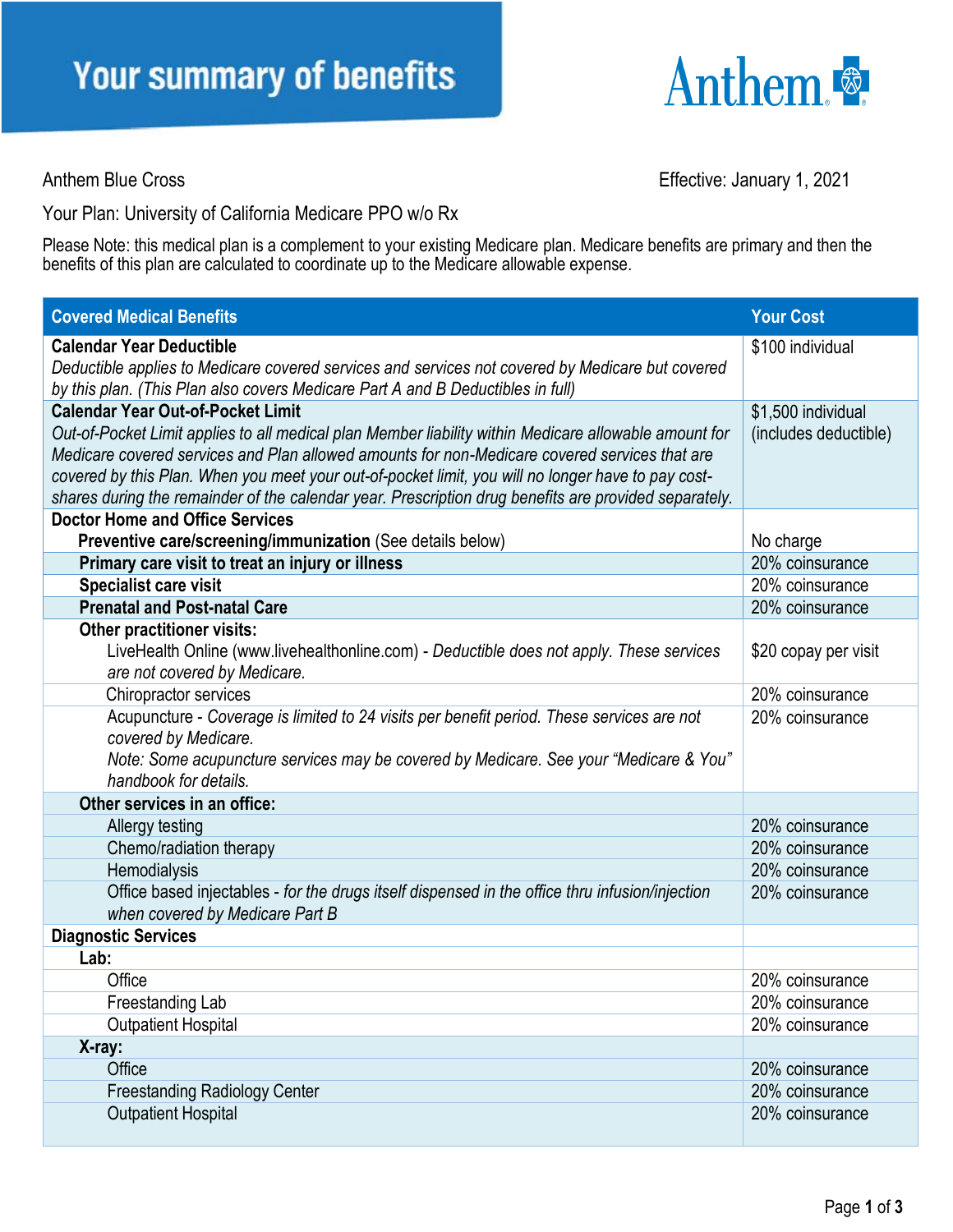

Anthem Blue Cross **Effective:** January 1, 2021

Your Plan: University of California Medicare PPO w/o Rx

Please Note: this medical plan is a complement to your existing Medicare plan. Medicare benefits are primary and then the benefits of this plan are calculated to coordinate up to the Medicare allowable expense.

| <b>Covered Medical Benefits</b>                                                                                                                                                     | <b>Your Cost</b>      |
|-------------------------------------------------------------------------------------------------------------------------------------------------------------------------------------|-----------------------|
| <b>Calendar Year Deductible</b>                                                                                                                                                     | \$100 individual      |
| Deductible applies to Medicare covered services and services not covered by Medicare but covered<br>by this plan. (This Plan also covers Medicare Part A and B Deductibles in full) |                       |
| <b>Calendar Year Out-of-Pocket Limit</b>                                                                                                                                            | \$1,500 individual    |
| Out-of-Pocket Limit applies to all medical plan Member liability within Medicare allowable amount for                                                                               | (includes deductible) |
| Medicare covered services and Plan allowed amounts for non-Medicare covered services that are                                                                                       |                       |
| covered by this Plan. When you meet your out-of-pocket limit, you will no longer have to pay cost-                                                                                  |                       |
| shares during the remainder of the calendar year. Prescription drug benefits are provided separately.                                                                               |                       |
| <b>Doctor Home and Office Services</b>                                                                                                                                              |                       |
| Preventive care/screening/immunization (See details below)                                                                                                                          | No charge             |
| Primary care visit to treat an injury or illness                                                                                                                                    | 20% coinsurance       |
| Specialist care visit                                                                                                                                                               | 20% coinsurance       |
| <b>Prenatal and Post-natal Care</b>                                                                                                                                                 | 20% coinsurance       |
| Other practitioner visits:                                                                                                                                                          |                       |
| LiveHealth Online (www.livehealthonline.com) - Deductible does not apply. These services                                                                                            | \$20 copay per visit  |
| are not covered by Medicare.                                                                                                                                                        |                       |
| Chiropractor services                                                                                                                                                               | 20% coinsurance       |
| Acupuncture - Coverage is limited to 24 visits per benefit period. These services are not                                                                                           | 20% coinsurance       |
| covered by Medicare.                                                                                                                                                                |                       |
| Note: Some acupuncture services may be covered by Medicare. See your "Medicare & You"                                                                                               |                       |
| handbook for details.                                                                                                                                                               |                       |
| Other services in an office:                                                                                                                                                        |                       |
| Allergy testing                                                                                                                                                                     | 20% coinsurance       |
| Chemo/radiation therapy                                                                                                                                                             | 20% coinsurance       |
| Hemodialysis                                                                                                                                                                        | 20% coinsurance       |
| Office based injectables - for the drugs itself dispensed in the office thru infusion/injection                                                                                     | 20% coinsurance       |
| when covered by Medicare Part B                                                                                                                                                     |                       |
| <b>Diagnostic Services</b>                                                                                                                                                          |                       |
| Lab:                                                                                                                                                                                |                       |
| Office                                                                                                                                                                              | 20% coinsurance       |
| Freestanding Lab                                                                                                                                                                    | 20% coinsurance       |
| <b>Outpatient Hospital</b>                                                                                                                                                          | 20% coinsurance       |
| X-ray:                                                                                                                                                                              |                       |
| Office                                                                                                                                                                              | 20% coinsurance       |
| <b>Freestanding Radiology Center</b>                                                                                                                                                | 20% coinsurance       |
| <b>Outpatient Hospital</b>                                                                                                                                                          | 20% coinsurance       |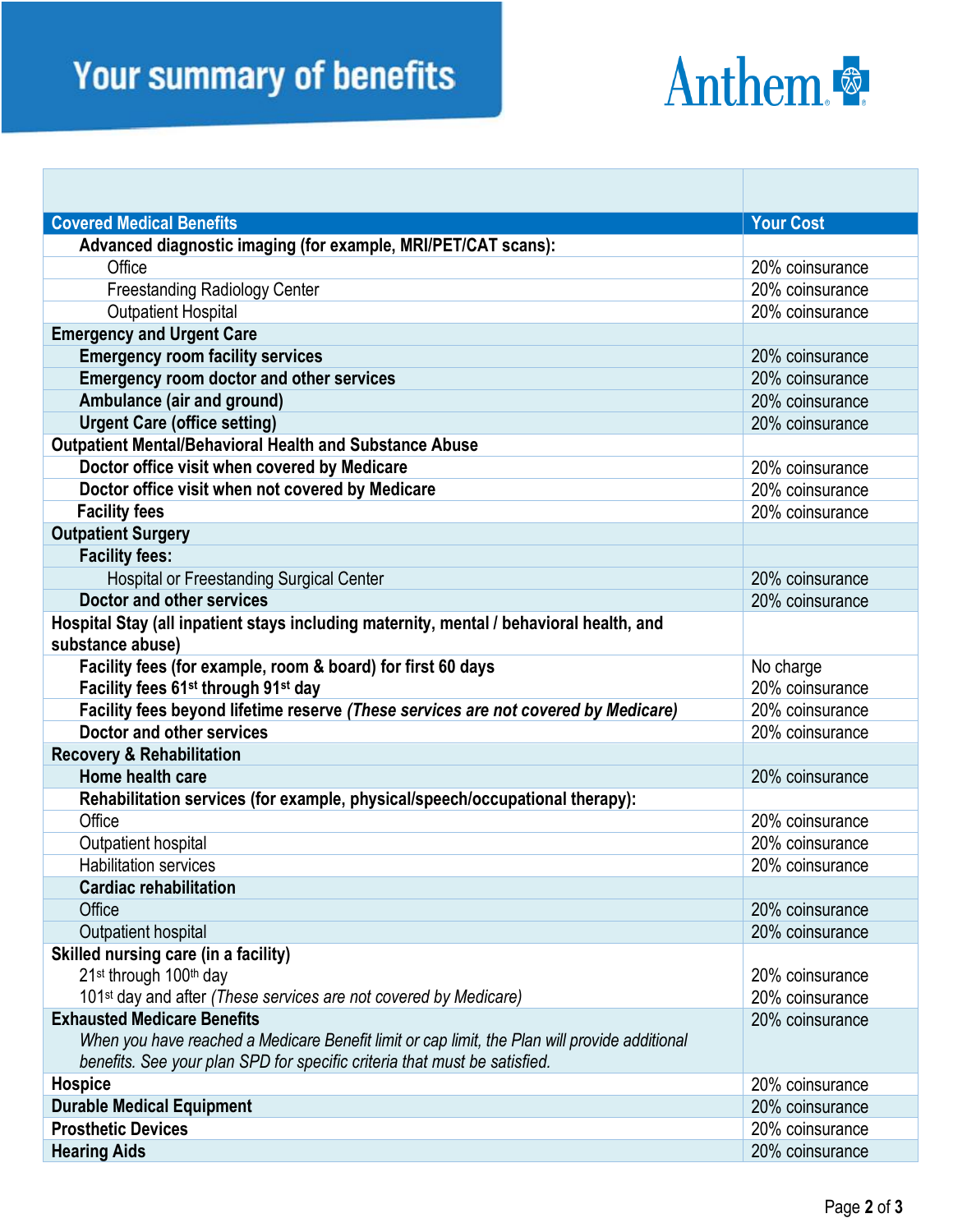## **Your summary of benefits**



| <b>Covered Medical Benefits</b>                                                               | <b>Your Cost</b> |
|-----------------------------------------------------------------------------------------------|------------------|
| Advanced diagnostic imaging (for example, MRI/PET/CAT scans):                                 |                  |
| Office                                                                                        | 20% coinsurance  |
| <b>Freestanding Radiology Center</b>                                                          | 20% coinsurance  |
| <b>Outpatient Hospital</b>                                                                    | 20% coinsurance  |
| <b>Emergency and Urgent Care</b>                                                              |                  |
| <b>Emergency room facility services</b>                                                       | 20% coinsurance  |
| <b>Emergency room doctor and other services</b>                                               | 20% coinsurance  |
| Ambulance (air and ground)                                                                    | 20% coinsurance  |
| <b>Urgent Care (office setting)</b>                                                           | 20% coinsurance  |
| Outpatient Mental/Behavioral Health and Substance Abuse                                       |                  |
| Doctor office visit when covered by Medicare                                                  | 20% coinsurance  |
| Doctor office visit when not covered by Medicare                                              | 20% coinsurance  |
| <b>Facility fees</b>                                                                          | 20% coinsurance  |
| <b>Outpatient Surgery</b>                                                                     |                  |
| <b>Facility fees:</b>                                                                         |                  |
| <b>Hospital or Freestanding Surgical Center</b>                                               | 20% coinsurance  |
| Doctor and other services                                                                     | 20% coinsurance  |
| Hospital Stay (all inpatient stays including maternity, mental / behavioral health, and       |                  |
| substance abuse)                                                                              |                  |
| Facility fees (for example, room & board) for first 60 days                                   | No charge        |
| Facility fees 61 <sup>st</sup> through 91 <sup>st</sup> day                                   | 20% coinsurance  |
| Facility fees beyond lifetime reserve (These services are not covered by Medicare)            | 20% coinsurance  |
| Doctor and other services                                                                     | 20% coinsurance  |
| <b>Recovery &amp; Rehabilitation</b>                                                          |                  |
| Home health care                                                                              | 20% coinsurance  |
| Rehabilitation services (for example, physical/speech/occupational therapy):                  |                  |
| Office                                                                                        | 20% coinsurance  |
| Outpatient hospital                                                                           | 20% coinsurance  |
| <b>Habilitation services</b>                                                                  | 20% coinsurance  |
| <b>Cardiac rehabilitation</b>                                                                 |                  |
| Office                                                                                        | 20% coinsurance  |
| Outpatient hospital                                                                           | 20% coinsurance  |
| Skilled nursing care (in a facility)                                                          |                  |
| 21 <sup>st</sup> through 100 <sup>th</sup> day                                                | 20% coinsurance  |
| 101 <sup>st</sup> day and after (These services are not covered by Medicare)                  | 20% coinsurance  |
| <b>Exhausted Medicare Benefits</b>                                                            | 20% coinsurance  |
| When you have reached a Medicare Benefit limit or cap limit, the Plan will provide additional |                  |
| benefits. See your plan SPD for specific criteria that must be satisfied.                     |                  |
| <b>Hospice</b>                                                                                | 20% coinsurance  |
| <b>Durable Medical Equipment</b>                                                              | 20% coinsurance  |
| <b>Prosthetic Devices</b>                                                                     | 20% coinsurance  |
| <b>Hearing Aids</b>                                                                           | 20% coinsurance  |